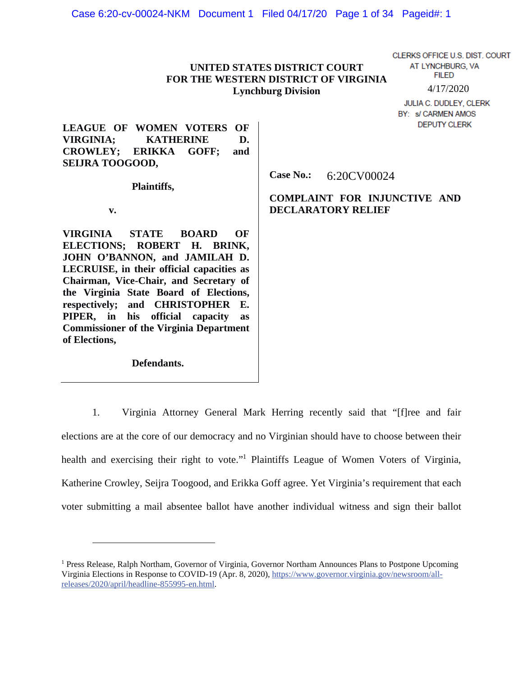# **UNITED STATES DISTRICT COURT FOR THE WESTERN DISTRICT OF VIRGINIA Lynchburg Division**

CLERKS OFFICE U.S. DIST. COURT AT LYNCHBURG, VA **FILED** 4/17/2020

JULIA C. DUDLEY, CLERK BY: s/ CARMEN AMOS **DEPUTY CLERK** 

**LEAGUE OF WOMEN VOTERS OF VIRGINIA; KATHERINE D. CROWLEY; ERIKKA GOFF; and SEIJRA TOOGOOD,** 

 **Plaintiffs,** 

 **v.** 

**VIRGINIA STATE BOARD OF ELECTIONS; ROBERT H. BRINK, JOHN O'BANNON, and JAMILAH D. LECRUISE, in their official capacities as Chairman, Vice-Chair, and Secretary of the Virginia State Board of Elections, respectively; and CHRISTOPHER E. PIPER, in his official capacity as Commissioner of the Virginia Department of Elections,** 

 **Defendants.** 

**Case No.:**  6:20CV00024

**COMPLAINT FOR INJUNCTIVE AND DECLARATORY RELIEF** 

1. Virginia Attorney General Mark Herring recently said that "[f]ree and fair elections are at the core of our democracy and no Virginian should have to choose between their health and exercising their right to vote."<sup>1</sup> Plaintiffs League of Women Voters of Virginia, Katherine Crowley, Seijra Toogood, and Erikka Goff agree. Yet Virginia's requirement that each voter submitting a mail absentee ballot have another individual witness and sign their ballot

<sup>&</sup>lt;sup>1</sup> Press Release, Ralph Northam, Governor of Virginia, Governor Northam Announces Plans to Postpone Upcoming Virginia Elections in Response to COVID-19 (Apr. 8, 2020), https://www.governor.virginia.gov/newsroom/allreleases/2020/april/headline-855995-en.html.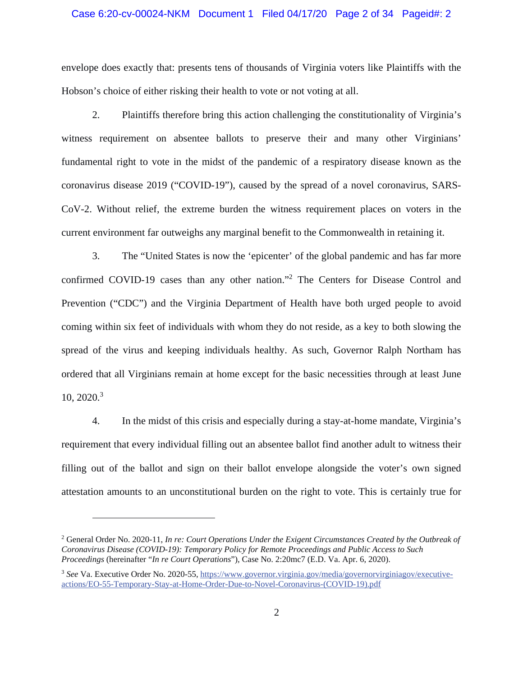### Case 6:20-cv-00024-NKM Document 1 Filed 04/17/20 Page 2 of 34 Pageid#: 2

envelope does exactly that: presents tens of thousands of Virginia voters like Plaintiffs with the Hobson's choice of either risking their health to vote or not voting at all.

2. Plaintiffs therefore bring this action challenging the constitutionality of Virginia's witness requirement on absentee ballots to preserve their and many other Virginians' fundamental right to vote in the midst of the pandemic of a respiratory disease known as the coronavirus disease 2019 ("COVID-19"), caused by the spread of a novel coronavirus, SARS-CoV-2. Without relief, the extreme burden the witness requirement places on voters in the current environment far outweighs any marginal benefit to the Commonwealth in retaining it.

3. The "United States is now the 'epicenter' of the global pandemic and has far more confirmed COVID-19 cases than any other nation."<sup>2</sup> The Centers for Disease Control and Prevention ("CDC") and the Virginia Department of Health have both urged people to avoid coming within six feet of individuals with whom they do not reside, as a key to both slowing the spread of the virus and keeping individuals healthy. As such, Governor Ralph Northam has ordered that all Virginians remain at home except for the basic necessities through at least June  $10, 2020$ <sup>3</sup>

4. In the midst of this crisis and especially during a stay-at-home mandate, Virginia's requirement that every individual filling out an absentee ballot find another adult to witness their filling out of the ballot and sign on their ballot envelope alongside the voter's own signed attestation amounts to an unconstitutional burden on the right to vote. This is certainly true for

<sup>&</sup>lt;sup>2</sup> General Order No. 2020-11, *In re: Court Operations Under the Exigent Circumstances Created by the Outbreak of Coronavirus Disease (COVID-19): Temporary Policy for Remote Proceedings and Public Access to Such Proceedings* (hereinafter "*In re Court Operations*"), Case No. 2:20mc7 (E.D. Va. Apr. 6, 2020).

<sup>3</sup> *See* Va. Executive Order No. 2020-55, https://www.governor.virginia.gov/media/governorvirginiagov/executiveactions/EO-55-Temporary-Stay-at-Home-Order-Due-to-Novel-Coronavirus-(COVID-19).pdf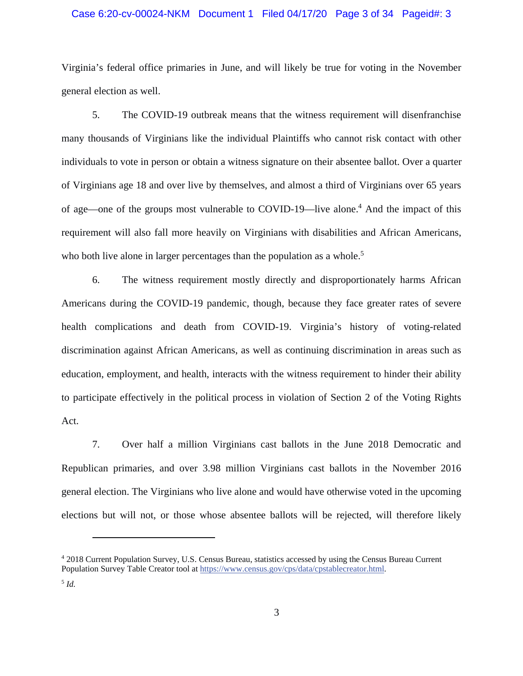### Case 6:20-cv-00024-NKM Document 1 Filed 04/17/20 Page 3 of 34 Pageid#: 3

Virginia's federal office primaries in June, and will likely be true for voting in the November general election as well.

5. The COVID-19 outbreak means that the witness requirement will disenfranchise many thousands of Virginians like the individual Plaintiffs who cannot risk contact with other individuals to vote in person or obtain a witness signature on their absentee ballot. Over a quarter of Virginians age 18 and over live by themselves, and almost a third of Virginians over 65 years of age—one of the groups most vulnerable to COVID-19—live alone.<sup>4</sup> And the impact of this requirement will also fall more heavily on Virginians with disabilities and African Americans, who both live alone in larger percentages than the population as a whole.<sup>5</sup>

6. The witness requirement mostly directly and disproportionately harms African Americans during the COVID-19 pandemic, though, because they face greater rates of severe health complications and death from COVID-19. Virginia's history of voting-related discrimination against African Americans, as well as continuing discrimination in areas such as education, employment, and health, interacts with the witness requirement to hinder their ability to participate effectively in the political process in violation of Section 2 of the Voting Rights Act.

7. Over half a million Virginians cast ballots in the June 2018 Democratic and Republican primaries, and over 3.98 million Virginians cast ballots in the November 2016 general election. The Virginians who live alone and would have otherwise voted in the upcoming elections but will not, or those whose absentee ballots will be rejected, will therefore likely

<sup>4</sup> 2018 Current Population Survey, U.S. Census Bureau, statistics accessed by using the Census Bureau Current Population Survey Table Creator tool at https://www.census.gov/cps/data/cpstablecreator.html.

<sup>5</sup> *Id.*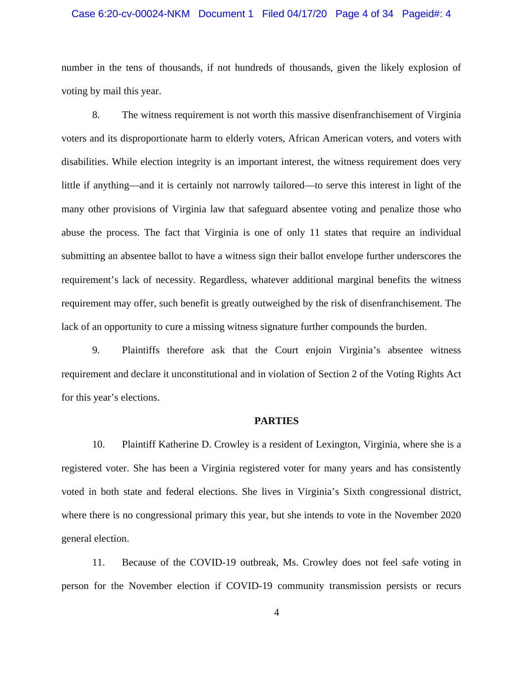### Case 6:20-cv-00024-NKM Document 1 Filed 04/17/20 Page 4 of 34 Pageid#: 4

number in the tens of thousands, if not hundreds of thousands, given the likely explosion of voting by mail this year.

8. The witness requirement is not worth this massive disenfranchisement of Virginia voters and its disproportionate harm to elderly voters, African American voters, and voters with disabilities. While election integrity is an important interest, the witness requirement does very little if anything—and it is certainly not narrowly tailored—to serve this interest in light of the many other provisions of Virginia law that safeguard absentee voting and penalize those who abuse the process. The fact that Virginia is one of only 11 states that require an individual submitting an absentee ballot to have a witness sign their ballot envelope further underscores the requirement's lack of necessity. Regardless, whatever additional marginal benefits the witness requirement may offer, such benefit is greatly outweighed by the risk of disenfranchisement. The lack of an opportunity to cure a missing witness signature further compounds the burden.

9. Plaintiffs therefore ask that the Court enjoin Virginia's absentee witness requirement and declare it unconstitutional and in violation of Section 2 of the Voting Rights Act for this year's elections.

#### **PARTIES**

10. Plaintiff Katherine D. Crowley is a resident of Lexington, Virginia, where she is a registered voter. She has been a Virginia registered voter for many years and has consistently voted in both state and federal elections. She lives in Virginia's Sixth congressional district, where there is no congressional primary this year, but she intends to vote in the November 2020 general election.

11. Because of the COVID-19 outbreak, Ms. Crowley does not feel safe voting in person for the November election if COVID-19 community transmission persists or recurs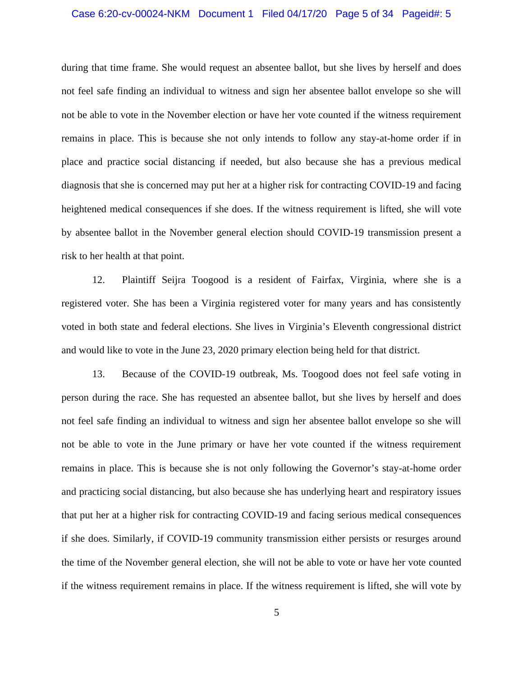### Case 6:20-cv-00024-NKM Document 1 Filed 04/17/20 Page 5 of 34 Pageid#: 5

during that time frame. She would request an absentee ballot, but she lives by herself and does not feel safe finding an individual to witness and sign her absentee ballot envelope so she will not be able to vote in the November election or have her vote counted if the witness requirement remains in place. This is because she not only intends to follow any stay-at-home order if in place and practice social distancing if needed, but also because she has a previous medical diagnosis that she is concerned may put her at a higher risk for contracting COVID-19 and facing heightened medical consequences if she does. If the witness requirement is lifted, she will vote by absentee ballot in the November general election should COVID-19 transmission present a risk to her health at that point.

12. Plaintiff Seijra Toogood is a resident of Fairfax, Virginia, where she is a registered voter. She has been a Virginia registered voter for many years and has consistently voted in both state and federal elections. She lives in Virginia's Eleventh congressional district and would like to vote in the June 23, 2020 primary election being held for that district.

13. Because of the COVID-19 outbreak, Ms. Toogood does not feel safe voting in person during the race. She has requested an absentee ballot, but she lives by herself and does not feel safe finding an individual to witness and sign her absentee ballot envelope so she will not be able to vote in the June primary or have her vote counted if the witness requirement remains in place. This is because she is not only following the Governor's stay-at-home order and practicing social distancing, but also because she has underlying heart and respiratory issues that put her at a higher risk for contracting COVID-19 and facing serious medical consequences if she does. Similarly, if COVID-19 community transmission either persists or resurges around the time of the November general election, she will not be able to vote or have her vote counted if the witness requirement remains in place. If the witness requirement is lifted, she will vote by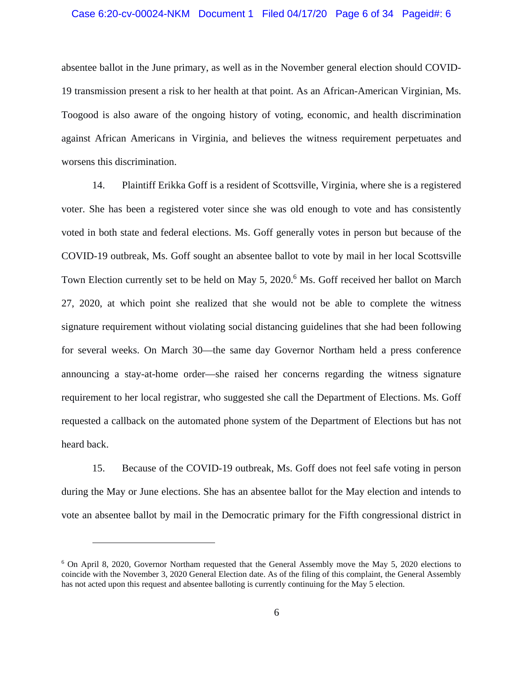absentee ballot in the June primary, as well as in the November general election should COVID-19 transmission present a risk to her health at that point. As an African-American Virginian, Ms. Toogood is also aware of the ongoing history of voting, economic, and health discrimination against African Americans in Virginia, and believes the witness requirement perpetuates and worsens this discrimination.

14. Plaintiff Erikka Goff is a resident of Scottsville, Virginia, where she is a registered voter. She has been a registered voter since she was old enough to vote and has consistently voted in both state and federal elections. Ms. Goff generally votes in person but because of the COVID-19 outbreak, Ms. Goff sought an absentee ballot to vote by mail in her local Scottsville Town Election currently set to be held on May 5, 2020.<sup>6</sup> Ms. Goff received her ballot on March 27, 2020, at which point she realized that she would not be able to complete the witness signature requirement without violating social distancing guidelines that she had been following for several weeks. On March 30—the same day Governor Northam held a press conference announcing a stay-at-home order—she raised her concerns regarding the witness signature requirement to her local registrar, who suggested she call the Department of Elections. Ms. Goff requested a callback on the automated phone system of the Department of Elections but has not heard back.

15. Because of the COVID-19 outbreak, Ms. Goff does not feel safe voting in person during the May or June elections. She has an absentee ballot for the May election and intends to vote an absentee ballot by mail in the Democratic primary for the Fifth congressional district in

<sup>6</sup> On April 8, 2020, Governor Northam requested that the General Assembly move the May 5, 2020 elections to coincide with the November 3, 2020 General Election date. As of the filing of this complaint, the General Assembly has not acted upon this request and absentee balloting is currently continuing for the May 5 election.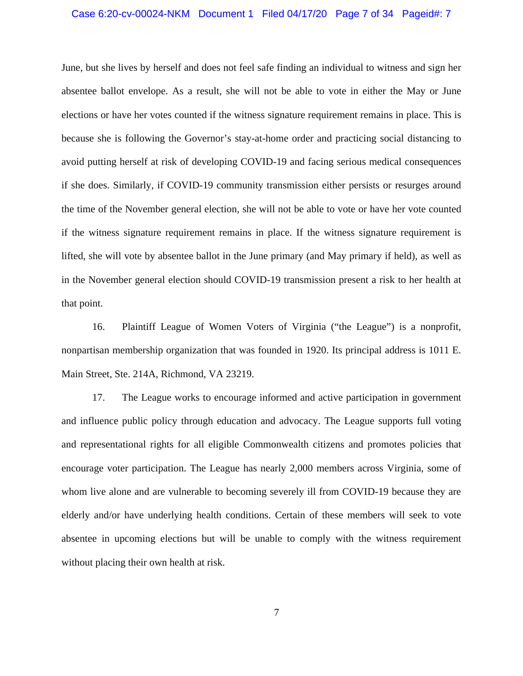### Case 6:20-cv-00024-NKM Document 1 Filed 04/17/20 Page 7 of 34 Pageid#: 7

June, but she lives by herself and does not feel safe finding an individual to witness and sign her absentee ballot envelope. As a result, she will not be able to vote in either the May or June elections or have her votes counted if the witness signature requirement remains in place. This is because she is following the Governor's stay-at-home order and practicing social distancing to avoid putting herself at risk of developing COVID-19 and facing serious medical consequences if she does. Similarly, if COVID-19 community transmission either persists or resurges around the time of the November general election, she will not be able to vote or have her vote counted if the witness signature requirement remains in place. If the witness signature requirement is lifted, she will vote by absentee ballot in the June primary (and May primary if held), as well as in the November general election should COVID-19 transmission present a risk to her health at that point.

16. Plaintiff League of Women Voters of Virginia ("the League") is a nonprofit, nonpartisan membership organization that was founded in 1920. Its principal address is 1011 E. Main Street, Ste. 214A, Richmond, VA 23219.

17. The League works to encourage informed and active participation in government and influence public policy through education and advocacy. The League supports full voting and representational rights for all eligible Commonwealth citizens and promotes policies that encourage voter participation. The League has nearly 2,000 members across Virginia, some of whom live alone and are vulnerable to becoming severely ill from COVID-19 because they are elderly and/or have underlying health conditions. Certain of these members will seek to vote absentee in upcoming elections but will be unable to comply with the witness requirement without placing their own health at risk.

7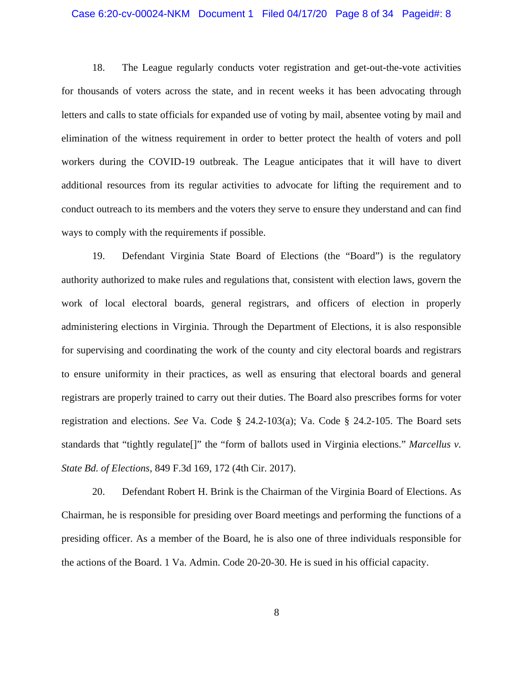### Case 6:20-cv-00024-NKM Document 1 Filed 04/17/20 Page 8 of 34 Pageid#: 8

18. The League regularly conducts voter registration and get-out-the-vote activities for thousands of voters across the state, and in recent weeks it has been advocating through letters and calls to state officials for expanded use of voting by mail, absentee voting by mail and elimination of the witness requirement in order to better protect the health of voters and poll workers during the COVID-19 outbreak. The League anticipates that it will have to divert additional resources from its regular activities to advocate for lifting the requirement and to conduct outreach to its members and the voters they serve to ensure they understand and can find ways to comply with the requirements if possible.

19. Defendant Virginia State Board of Elections (the "Board") is the regulatory authority authorized to make rules and regulations that, consistent with election laws, govern the work of local electoral boards, general registrars, and officers of election in properly administering elections in Virginia. Through the Department of Elections, it is also responsible for supervising and coordinating the work of the county and city electoral boards and registrars to ensure uniformity in their practices, as well as ensuring that electoral boards and general registrars are properly trained to carry out their duties. The Board also prescribes forms for voter registration and elections. *See* Va. Code § 24.2-103(a); Va. Code § 24.2-105. The Board sets standards that "tightly regulate[]" the "form of ballots used in Virginia elections." *Marcellus v. State Bd. of Elections*, 849 F.3d 169, 172 (4th Cir. 2017).

20. Defendant Robert H. Brink is the Chairman of the Virginia Board of Elections. As Chairman, he is responsible for presiding over Board meetings and performing the functions of a presiding officer. As a member of the Board, he is also one of three individuals responsible for the actions of the Board. 1 Va. Admin. Code 20-20-30. He is sued in his official capacity.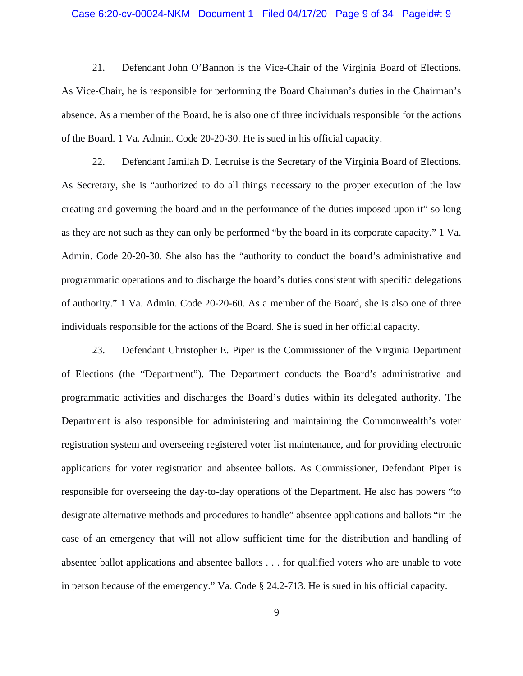### Case 6:20-cv-00024-NKM Document 1 Filed 04/17/20 Page 9 of 34 Pageid#: 9

21. Defendant John O'Bannon is the Vice-Chair of the Virginia Board of Elections. As Vice-Chair, he is responsible for performing the Board Chairman's duties in the Chairman's absence. As a member of the Board, he is also one of three individuals responsible for the actions of the Board. 1 Va. Admin. Code 20-20-30. He is sued in his official capacity.

22. Defendant Jamilah D. Lecruise is the Secretary of the Virginia Board of Elections. As Secretary, she is "authorized to do all things necessary to the proper execution of the law creating and governing the board and in the performance of the duties imposed upon it" so long as they are not such as they can only be performed "by the board in its corporate capacity." 1 Va. Admin. Code 20-20-30. She also has the "authority to conduct the board's administrative and programmatic operations and to discharge the board's duties consistent with specific delegations of authority." 1 Va. Admin. Code 20-20-60. As a member of the Board, she is also one of three individuals responsible for the actions of the Board. She is sued in her official capacity.

23. Defendant Christopher E. Piper is the Commissioner of the Virginia Department of Elections (the "Department"). The Department conducts the Board's administrative and programmatic activities and discharges the Board's duties within its delegated authority. The Department is also responsible for administering and maintaining the Commonwealth's voter registration system and overseeing registered voter list maintenance, and for providing electronic applications for voter registration and absentee ballots. As Commissioner, Defendant Piper is responsible for overseeing the day-to-day operations of the Department. He also has powers "to designate alternative methods and procedures to handle" absentee applications and ballots "in the case of an emergency that will not allow sufficient time for the distribution and handling of absentee ballot applications and absentee ballots . . . for qualified voters who are unable to vote in person because of the emergency." Va. Code § 24.2-713. He is sued in his official capacity.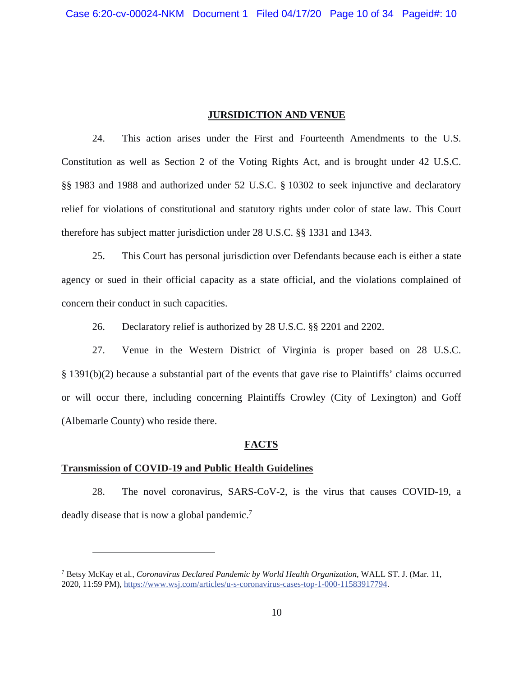## **JURSIDICTION AND VENUE**

24. This action arises under the First and Fourteenth Amendments to the U.S. Constitution as well as Section 2 of the Voting Rights Act, and is brought under 42 U.S.C. §§ 1983 and 1988 and authorized under 52 U.S.C. § 10302 to seek injunctive and declaratory relief for violations of constitutional and statutory rights under color of state law. This Court therefore has subject matter jurisdiction under 28 U.S.C. §§ 1331 and 1343.

25. This Court has personal jurisdiction over Defendants because each is either a state agency or sued in their official capacity as a state official, and the violations complained of concern their conduct in such capacities.

26. Declaratory relief is authorized by 28 U.S.C. §§ 2201 and 2202.

27. Venue in the Western District of Virginia is proper based on 28 U.S.C. § 1391(b)(2) because a substantial part of the events that gave rise to Plaintiffs' claims occurred or will occur there, including concerning Plaintiffs Crowley (City of Lexington) and Goff (Albemarle County) who reside there.

### **FACTS**

### **Transmission of COVID-19 and Public Health Guidelines**

28. The novel coronavirus, SARS-CoV-2, is the virus that causes COVID-19, a deadly disease that is now a global pandemic.<sup>7</sup>

<sup>7</sup> Betsy McKay et al*., Coronavirus Declared Pandemic by World Health Organization*, WALL ST. J. (Mar. 11, 2020, 11:59 PM), https://www.wsj.com/articles/u-s-coronavirus-cases-top-1-000-11583917794.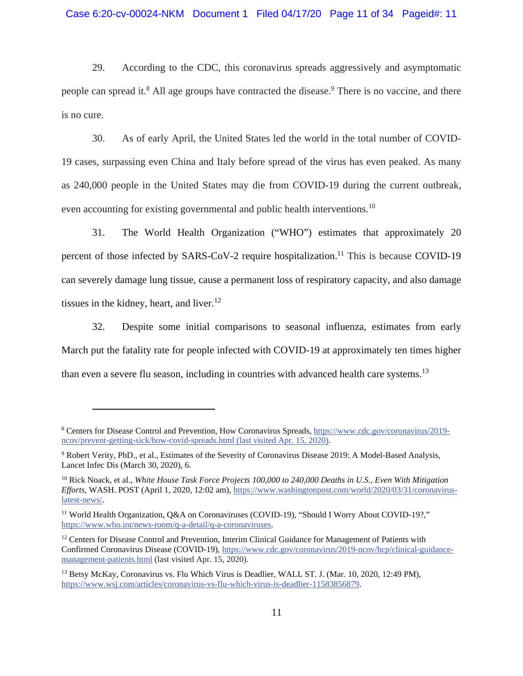29. According to the CDC, this coronavirus spreads aggressively and asymptomatic people can spread it.<sup>8</sup> All age groups have contracted the disease.<sup>9</sup> There is no vaccine, and there is no cure.

30. As of early April, the United States led the world in the total number of COVID-19 cases, surpassing even China and Italy before spread of the virus has even peaked. As many as 240,000 people in the United States may die from COVID-19 during the current outbreak, even accounting for existing governmental and public health interventions.<sup>10</sup>

31. The World Health Organization ("WHO") estimates that approximately 20 percent of those infected by SARS-CoV-2 require hospitalization.<sup>11</sup> This is because COVID-19 can severely damage lung tissue, cause a permanent loss of respiratory capacity, and also damage tissues in the kidney, heart, and liver.<sup>12</sup>

32. Despite some initial comparisons to seasonal influenza, estimates from early March put the fatality rate for people infected with COVID-19 at approximately ten times higher than even a severe flu season, including in countries with advanced health care systems.<sup>13</sup>

<sup>&</sup>lt;sup>8</sup> Centers for Disease Control and Prevention, How Coronavirus Spreads, https://www.cdc.gov/coronavirus/2019ncov/prevent-getting-sick/how-covid-spreads.html (last visited Apr. 15, 2020).

<sup>&</sup>lt;sup>9</sup> Robert Verity, PhD., et al., Estimates of the Severity of Coronavirus Disease 2019: A Model-Based Analysis, Lancet Infec Dis (March 30, 2020), 6.

<sup>10</sup> Rick Noack, et al., *White House Task Force Projects 100,000 to 240,000 Deaths in U.S., Even With Mitigation Efforts*, WASH. POST (April 1, 2020, 12:02 am), https://www.washingtonpost.com/world/2020/03/31/coronaviruslatest-news/.

<sup>&</sup>lt;sup>11</sup> World Health Organization, Q&A on Coronaviruses (COVID-19), "Should I Worry About COVID-19?," https://www.who.int/news-room/q-a-detail/q-a-coronaviruses.

<sup>&</sup>lt;sup>12</sup> Centers for Disease Control and Prevention, Interim Clinical Guidance for Management of Patients with Confirmed Coronavirus Disease (COVID-19), https://www.cdc.gov/coronavirus/2019-ncov/hcp/clinical-guidancemanagement-patients.html (last visited Apr. 15, 2020).

<sup>&</sup>lt;sup>13</sup> Betsy McKay, Coronavirus vs. Flu Which Virus is Deadlier, WALL ST. J. (Mar. 10, 2020, 12:49 PM), https://www.wsj.com/articles/coronavirus-vs-flu-which-virus-is-deadlier-11583856879.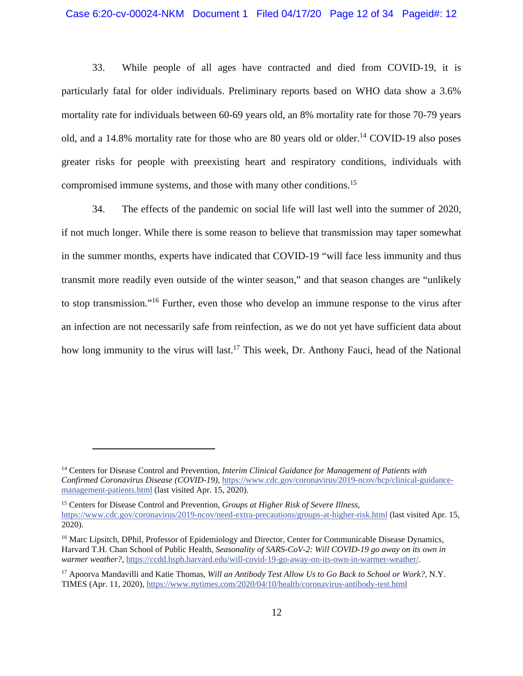33. While people of all ages have contracted and died from COVID-19, it is particularly fatal for older individuals. Preliminary reports based on WHO data show a 3.6% mortality rate for individuals between 60-69 years old, an 8% mortality rate for those 70-79 years old, and a 14.8% mortality rate for those who are 80 years old or older.<sup>14</sup> COVID-19 also poses greater risks for people with preexisting heart and respiratory conditions, individuals with compromised immune systems, and those with many other conditions.15

34. The effects of the pandemic on social life will last well into the summer of 2020, if not much longer. While there is some reason to believe that transmission may taper somewhat in the summer months, experts have indicated that COVID-19 "will face less immunity and thus transmit more readily even outside of the winter season," and that season changes are "unlikely to stop transmission."16 Further, even those who develop an immune response to the virus after an infection are not necessarily safe from reinfection, as we do not yet have sufficient data about how long immunity to the virus will last.<sup>17</sup> This week, Dr. Anthony Fauci, head of the National

15 Centers for Disease Control and Prevention, *Groups at Higher Risk of Severe Illness*, https://www.cdc.gov/coronavirus/2019-ncov/need-extra-precautions/groups-at-higher-risk.html (last visited Apr. 15, 2020).

<sup>14</sup> Centers for Disease Control and Prevention*, Interim Clinical Guidance for Management of Patients with Confirmed Coronavirus Disease (COVID-19)*, https://www.cdc.gov/coronavirus/2019-ncov/hcp/clinical-guidancemanagement-patients.html (last visited Apr. 15, 2020).

<sup>&</sup>lt;sup>16</sup> Marc Lipsitch, DPhil, Professor of Epidemiology and Director, Center for Communicable Disease Dynamics, Harvard T.H. Chan School of Public Health, *Seasonality of SARS-CoV-2: Will COVID-19 go away on its own in warmer weather?*, https://ccdd.hsph.harvard.edu/will-covid-19-go-away-on-its-own-in-warmer-weather/.

<sup>17</sup> Apoorva Mandavilli and Katie Thomas, *Will an Antibody Test Allow Us to Go Back to School or Work?*, N.Y. TIMES (Apr. 11, 2020), https://www.nytimes.com/2020/04/10/health/coronavirus-antibody-test.html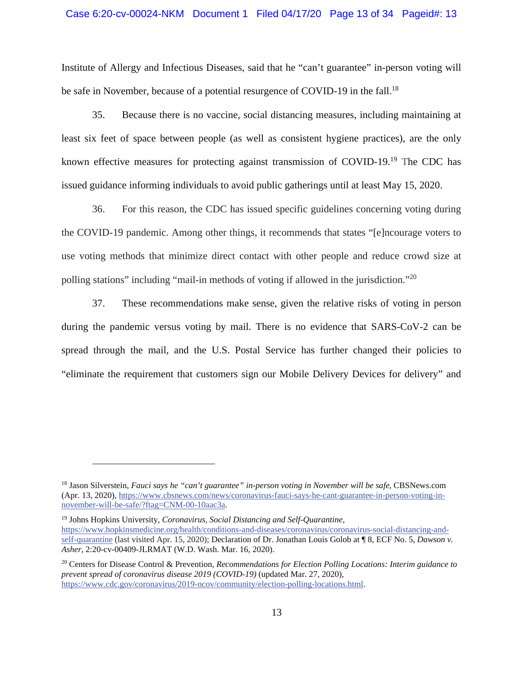### Case 6:20-cv-00024-NKM Document 1 Filed 04/17/20 Page 13 of 34 Pageid#: 13

Institute of Allergy and Infectious Diseases, said that he "can't guarantee" in-person voting will be safe in November, because of a potential resurgence of COVID-19 in the fall.<sup>18</sup>

35. Because there is no vaccine, social distancing measures, including maintaining at least six feet of space between people (as well as consistent hygiene practices), are the only known effective measures for protecting against transmission of COVID-19.19 The CDC has issued guidance informing individuals to avoid public gatherings until at least May 15, 2020.

36. For this reason, the CDC has issued specific guidelines concerning voting during the COVID-19 pandemic. Among other things, it recommends that states "[e]ncourage voters to use voting methods that minimize direct contact with other people and reduce crowd size at polling stations" including "mail-in methods of voting if allowed in the jurisdiction."<sup>20</sup>

37. These recommendations make sense, given the relative risks of voting in person during the pandemic versus voting by mail. There is no evidence that SARS-CoV-2 can be spread through the mail, and the U.S. Postal Service has further changed their policies to "eliminate the requirement that customers sign our Mobile Delivery Devices for delivery" and

19 Johns Hopkins University, *Coronavirus, Social Distancing and Self-Quarantine*, https://www.hopkinsmedicine.org/health/conditions-and-diseases/coronavirus/coronavirus-social-distancing-andself-quarantine (last visited Apr. 15, 2020); Declaration of Dr. Jonathan Louis Golob at ¶ 8, ECF No. 5, *Dawson v. Asher*, 2:20-cv-00409-JLRMAT (W.D. Wash. Mar. 16, 2020).

<sup>18</sup> Jason Silverstein, *Fauci says he "can't guarantee" in-person voting in November will be safe*, CBSNews.com (Apr. 13, 2020), https://www.cbsnews.com/news/coronavirus-fauci-says-he-cant-guarantee-in-person-voting-innovember-will-be-safe/?ftag=CNM-00-10aac3a.

<sup>20</sup> Centers for Disease Control & Prevention, *Recommendations for Election Polling Locations: Interim guidance to prevent spread of coronavirus disease 2019 (COVID-19)* (updated Mar. 27, 2020), https://www.cdc.gov/coronavirus/2019-ncov/community/election-polling-locations.html.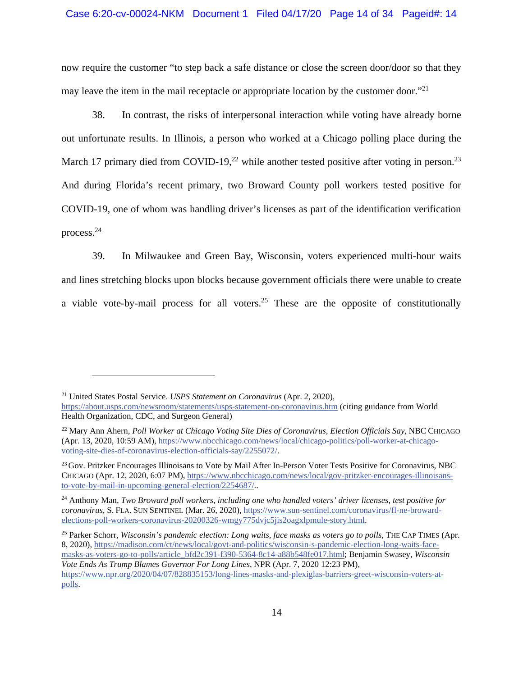# Case 6:20-cv-00024-NKM Document 1 Filed 04/17/20 Page 14 of 34 Pageid#: 14

now require the customer "to step back a safe distance or close the screen door/door so that they may leave the item in the mail receptacle or appropriate location by the customer door."<sup>21</sup>

38. In contrast, the risks of interpersonal interaction while voting have already borne out unfortunate results. In Illinois, a person who worked at a Chicago polling place during the March 17 primary died from COVID-19,<sup>22</sup> while another tested positive after voting in person.<sup>23</sup> And during Florida's recent primary, two Broward County poll workers tested positive for COVID-19, one of whom was handling driver's licenses as part of the identification verification process.24

39. In Milwaukee and Green Bay, Wisconsin, voters experienced multi-hour waits and lines stretching blocks upon blocks because government officials there were unable to create a viable vote-by-mail process for all voters.<sup>25</sup> These are the opposite of constitutionally

<sup>21</sup> United States Postal Service. *USPS Statement on Coronavirus* (Apr. 2, 2020),

https://about.usps.com/newsroom/statements/usps-statement-on-coronavirus.htm (citing guidance from World Health Organization, CDC, and Surgeon General)

<sup>22</sup> Mary Ann Ahern, *Poll Worker at Chicago Voting Site Dies of Coronavirus, Election Officials Say*, NBC CHICAGO (Apr. 13, 2020, 10:59 AM), https://www.nbcchicago.com/news/local/chicago-politics/poll-worker-at-chicagovoting-site-dies-of-coronavirus-election-officials-say/2255072/.

<sup>&</sup>lt;sup>23</sup> Gov. Pritzker Encourages Illinoisans to Vote by Mail After In-Person Voter Tests Positive for Coronavirus, NBC CHICAGO (Apr. 12, 2020, 6:07 PM), https://www.nbcchicago.com/news/local/gov-pritzker-encourages-illinoisansto-vote-by-mail-in-upcoming-general-election/2254687/..

<sup>24</sup> Anthony Man, *Two Broward poll workers, including one who handled voters' driver licenses, test positive for coronavirus*, S. FLA. SUN SENTINEL (Mar. 26, 2020), https://www.sun-sentinel.com/coronavirus/fl-ne-browardelections-poll-workers-coronavirus-20200326-wmgy775dvjc5jis2oagxlpmule-story.html.

<sup>&</sup>lt;sup>25</sup> Parker Schorr, *Wisconsin's pandemic election: Long waits, face masks as voters go to polls*, THE CAP TIMES (Apr. 8, 2020), https://madison.com/ct/news/local/govt-and-politics/wisconsin-s-pandemic-election-long-waits-facemasks-as-voters-go-to-polls/article\_bfd2c391-f390-5364-8c14-a88b548fe017.html; Benjamin Swasey, *Wisconsin Vote Ends As Trump Blames Governor For Long Lines*, NPR (Apr. 7, 2020 12:23 PM), https://www.npr.org/2020/04/07/828835153/long-lines-masks-and-plexiglas-barriers-greet-wisconsin-voters-atpolls.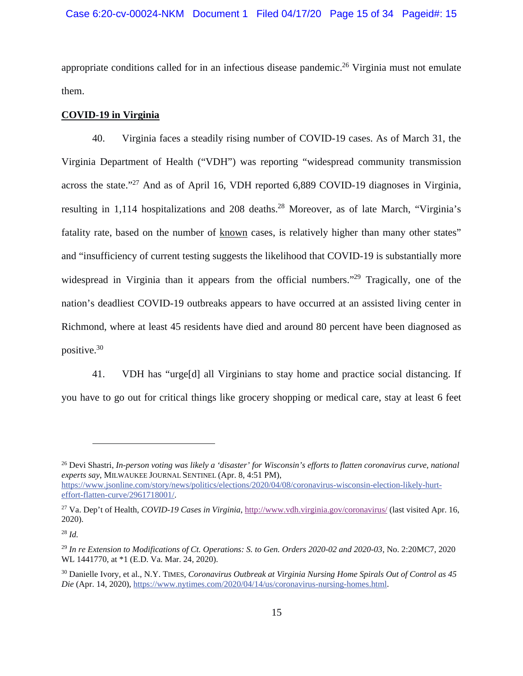appropriate conditions called for in an infectious disease pandemic.<sup>26</sup> Virginia must not emulate them.

## **COVID-19 in Virginia**

40. Virginia faces a steadily rising number of COVID-19 cases. As of March 31, the Virginia Department of Health ("VDH") was reporting "widespread community transmission across the state."27 And as of April 16, VDH reported 6,889 COVID-19 diagnoses in Virginia, resulting in 1,114 hospitalizations and 208 deaths.<sup>28</sup> Moreover, as of late March, "Virginia's fatality rate, based on the number of known cases, is relatively higher than many other states" and "insufficiency of current testing suggests the likelihood that COVID-19 is substantially more widespread in Virginia than it appears from the official numbers.<sup>"29</sup> Tragically, one of the nation's deadliest COVID-19 outbreaks appears to have occurred at an assisted living center in Richmond, where at least 45 residents have died and around 80 percent have been diagnosed as positive.30

41. VDH has "urge[d] all Virginians to stay home and practice social distancing. If you have to go out for critical things like grocery shopping or medical care, stay at least 6 feet

<sup>26</sup> Devi Shastri, *In-person voting was likely a 'disaster' for Wisconsin's efforts to flatten coronavirus curve*, *national experts say*, MILWAUKEE JOURNAL SENTINEL (Apr. 8, 4:51 PM), https://www.jsonline.com/story/news/politics/elections/2020/04/08/coronavirus-wisconsin-election-likely-hurteffort-flatten-curve/2961718001/.

<sup>27</sup> Va. Dep't of Health, *COVID-19 Cases in Virginia*, http://www.vdh.virginia.gov/coronavirus/ (last visited Apr. 16, 2020).

<sup>28</sup> *Id.*

<sup>29</sup> *In re Extension to Modifications of Ct. Operations: S. to Gen. Orders 2020-02 and 2020-03*, No. 2:20MC7, 2020 WL 1441770, at \*1 (E.D. Va. Mar. 24, 2020).

<sup>30</sup> Danielle Ivory, et al., N.Y. TIMES, *Coronavirus Outbreak at Virginia Nursing Home Spirals Out of Control as 45 Die* (Apr. 14, 2020), https://www.nytimes.com/2020/04/14/us/coronavirus-nursing-homes.html.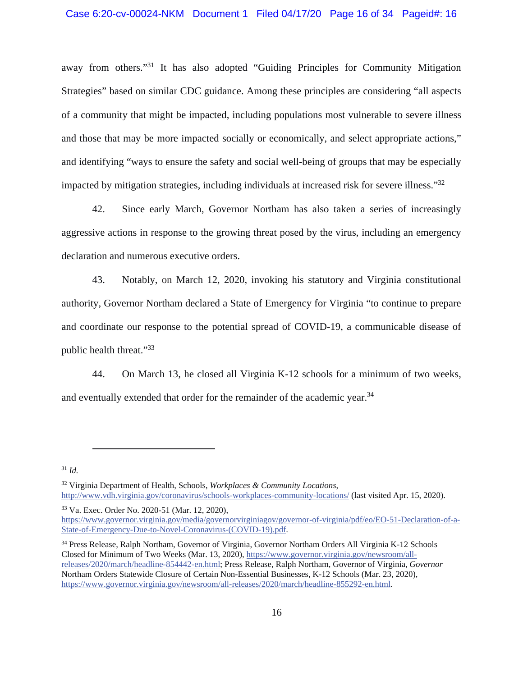away from others."31 It has also adopted "Guiding Principles for Community Mitigation Strategies" based on similar CDC guidance. Among these principles are considering "all aspects of a community that might be impacted, including populations most vulnerable to severe illness and those that may be more impacted socially or economically, and select appropriate actions," and identifying "ways to ensure the safety and social well-being of groups that may be especially impacted by mitigation strategies, including individuals at increased risk for severe illness."32

42. Since early March, Governor Northam has also taken a series of increasingly aggressive actions in response to the growing threat posed by the virus, including an emergency declaration and numerous executive orders.

43. Notably, on March 12, 2020, invoking his statutory and Virginia constitutional authority, Governor Northam declared a State of Emergency for Virginia "to continue to prepare and coordinate our response to the potential spread of COVID-19, a communicable disease of public health threat."33

44. On March 13, he closed all Virginia K-12 schools for a minimum of two weeks, and eventually extended that order for the remainder of the academic year.<sup>34</sup>

<sup>31</sup> *Id.*

32 Virginia Department of Health, Schools, *Workplaces & Community Locations*, http://www.vdh.virginia.gov/coronavirus/schools-workplaces-community-locations/ (last visited Apr. 15, 2020).

33 Va. Exec. Order No. 2020-51 (Mar. 12, 2020),

https://www.governor.virginia.gov/media/governorvirginiagov/governor-of-virginia/pdf/eo/EO-51-Declaration-of-a-State-of-Emergency-Due-to-Novel-Coronavirus-(COVID-19).pdf.

<sup>&</sup>lt;sup>34</sup> Press Release, Ralph Northam, Governor of Virginia, Governor Northam Orders All Virginia K-12 Schools Closed for Minimum of Two Weeks (Mar. 13, 2020), https://www.governor.virginia.gov/newsroom/allreleases/2020/march/headline-854442-en.html; Press Release, Ralph Northam, Governor of Virginia, *Governor*  Northam Orders Statewide Closure of Certain Non-Essential Businesses, K-12 Schools (Mar. 23, 2020), https://www.governor.virginia.gov/newsroom/all-releases/2020/march/headline-855292-en.html.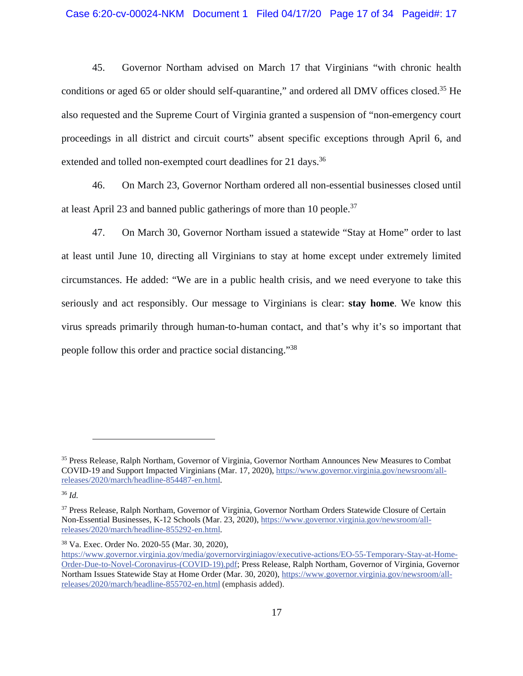45. Governor Northam advised on March 17 that Virginians "with chronic health conditions or aged 65 or older should self-quarantine," and ordered all DMV offices closed.<sup>35</sup> He also requested and the Supreme Court of Virginia granted a suspension of "non-emergency court proceedings in all district and circuit courts" absent specific exceptions through April 6, and extended and tolled non-exempted court deadlines for 21 days.<sup>36</sup>

46. On March 23, Governor Northam ordered all non-essential businesses closed until at least April 23 and banned public gatherings of more than 10 people.<sup>37</sup>

47. On March 30, Governor Northam issued a statewide "Stay at Home" order to last at least until June 10, directing all Virginians to stay at home except under extremely limited circumstances. He added: "We are in a public health crisis, and we need everyone to take this seriously and act responsibly. Our message to Virginians is clear: **stay home**. We know this virus spreads primarily through human-to-human contact, and that's why it's so important that people follow this order and practice social distancing."38

<sup>36</sup> *Id.*

<sup>&</sup>lt;sup>35</sup> Press Release, Ralph Northam, Governor of Virginia, Governor Northam Announces New Measures to Combat COVID-19 and Support Impacted Virginians (Mar. 17, 2020), https://www.governor.virginia.gov/newsroom/allreleases/2020/march/headline-854487-en.html.

<sup>&</sup>lt;sup>37</sup> Press Release, Ralph Northam, Governor of Virginia, Governor Northam Orders Statewide Closure of Certain Non-Essential Businesses, K-12 Schools (Mar. 23, 2020), https://www.governor.virginia.gov/newsroom/allreleases/2020/march/headline-855292-en.html.

<sup>38</sup> Va. Exec. Order No. 2020-55 (Mar. 30, 2020),

https://www.governor.virginia.gov/media/governorvirginiagov/executive-actions/EO-55-Temporary-Stay-at-Home-Order-Due-to-Novel-Coronavirus-(COVID-19).pdf; Press Release, Ralph Northam, Governor of Virginia, Governor Northam Issues Statewide Stay at Home Order (Mar. 30, 2020), https://www.governor.virginia.gov/newsroom/allreleases/2020/march/headline-855702-en.html (emphasis added).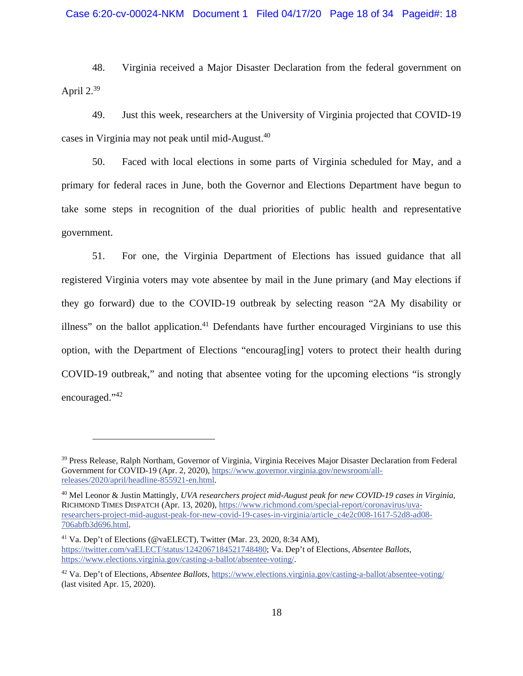48. Virginia received a Major Disaster Declaration from the federal government on April  $2.^{39}$ 

49. Just this week, researchers at the University of Virginia projected that COVID-19 cases in Virginia may not peak until mid-August.<sup>40</sup>

50. Faced with local elections in some parts of Virginia scheduled for May, and a primary for federal races in June, both the Governor and Elections Department have begun to take some steps in recognition of the dual priorities of public health and representative government.

51. For one, the Virginia Department of Elections has issued guidance that all registered Virginia voters may vote absentee by mail in the June primary (and May elections if they go forward) due to the COVID-19 outbreak by selecting reason "2A My disability or illness" on the ballot application.<sup>41</sup> Defendants have further encouraged Virginians to use this option, with the Department of Elections "encourag[ing] voters to protect their health during COVID-19 outbreak," and noting that absentee voting for the upcoming elections "is strongly encouraged."42

41 Va. Dep't of Elections (@vaELECT), Twitter (Mar. 23, 2020, 8:34 AM), https://twitter.com/vaELECT/status/1242067184521748480; Va. Dep't of Elections, *Absentee Ballots*, https://www.elections.virginia.gov/casting-a-ballot/absentee-voting/.

<sup>&</sup>lt;sup>39</sup> Press Release, Ralph Northam, Governor of Virginia, Virginia Receives Major Disaster Declaration from Federal Government for COVID-19 (Apr. 2, 2020), https://www.governor.virginia.gov/newsroom/allreleases/2020/april/headline-855921-en.html.

<sup>40</sup> Mel Leonor & Justin Mattingly, *UVA researchers project mid-August peak for new COVID-19 cases in Virginia*, RICHMOND TIMES DISPATCH (Apr. 13, 2020), https://www.richmond.com/special-report/coronavirus/uvaresearchers-project-mid-august-peak-for-new-covid-19-cases-in-virginia/article\_c4e2c008-1617-52d8-ad08- 706abfb3d696.html.

<sup>42</sup> Va. Dep't of Elections, *Absentee Ballots*, https://www.elections.virginia.gov/casting-a-ballot/absentee-voting/ (last visited Apr. 15, 2020).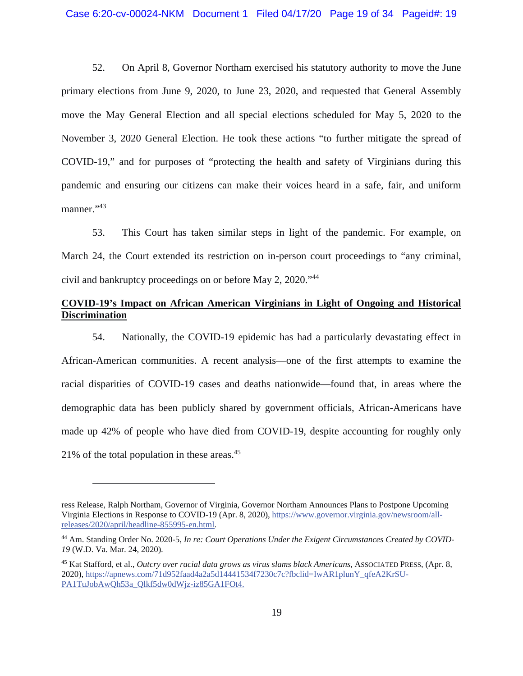52. On April 8, Governor Northam exercised his statutory authority to move the June primary elections from June 9, 2020, to June 23, 2020, and requested that General Assembly move the May General Election and all special elections scheduled for May 5, 2020 to the November 3, 2020 General Election. He took these actions "to further mitigate the spread of COVID-19," and for purposes of "protecting the health and safety of Virginians during this pandemic and ensuring our citizens can make their voices heard in a safe, fair, and uniform manner."43

53. This Court has taken similar steps in light of the pandemic. For example, on March 24, the Court extended its restriction on in-person court proceedings to "any criminal, civil and bankruptcy proceedings on or before May 2, 2020."44

# **COVID-19's Impact on African American Virginians in Light of Ongoing and Historical Discrimination**

54. Nationally, the COVID-19 epidemic has had a particularly devastating effect in African-American communities. A recent analysis—one of the first attempts to examine the racial disparities of COVID-19 cases and deaths nationwide—found that, in areas where the demographic data has been publicly shared by government officials, African-Americans have made up 42% of people who have died from COVID-19, despite accounting for roughly only 21% of the total population in these areas.45

ress Release, Ralph Northam, Governor of Virginia, Governor Northam Announces Plans to Postpone Upcoming Virginia Elections in Response to COVID-19 (Apr. 8, 2020), https://www.governor.virginia.gov/newsroom/allreleases/2020/april/headline-855995-en.html.

<sup>44</sup> Am. Standing Order No. 2020-5, *In re: Court Operations Under the Exigent Circumstances Created by COVID-19* (W.D. Va. Mar. 24, 2020).

<sup>45</sup> Kat Stafford, et al., *Outcry over racial data grows as virus slams black Americans*, ASSOCIATED PRESS, (Apr. 8, 2020), https://apnews.com/71d952faad4a2a5d14441534f7230c7c?fbclid=IwAR1plunY\_qfeA2KrSU-PA1TuJobAwOh53a\_Olkf5dw0dWjz-iz85GA1FOt4.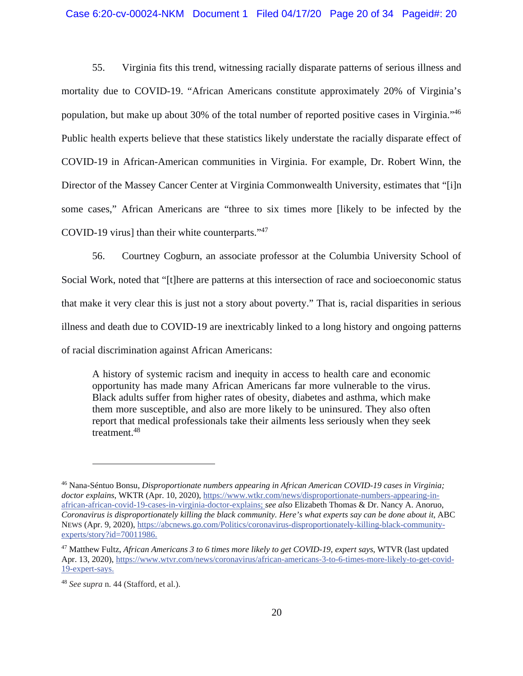55. Virginia fits this trend, witnessing racially disparate patterns of serious illness and mortality due to COVID-19. "African Americans constitute approximately 20% of Virginia's population, but make up about 30% of the total number of reported positive cases in Virginia."46 Public health experts believe that these statistics likely understate the racially disparate effect of COVID-19 in African-American communities in Virginia. For example, Dr. Robert Winn, the Director of the Massey Cancer Center at Virginia Commonwealth University, estimates that "[i]n some cases," African Americans are "three to six times more [likely to be infected by the COVID-19 virus] than their white counterparts."<sup>47</sup>

56. Courtney Cogburn, an associate professor at the Columbia University School of Social Work, noted that "[t]here are patterns at this intersection of race and socioeconomic status that make it very clear this is just not a story about poverty." That is, racial disparities in serious illness and death due to COVID-19 are inextricably linked to a long history and ongoing patterns of racial discrimination against African Americans:

A history of systemic racism and inequity in access to health care and economic opportunity has made many African Americans far more vulnerable to the virus. Black adults suffer from higher rates of obesity, diabetes and asthma, which make them more susceptible, and also are more likely to be uninsured. They also often report that medical professionals take their ailments less seriously when they seek treatment.48

<sup>46</sup> Nana-Séntuo Bonsu, *Disproportionate numbers appearing in African American COVID-19 cases in Virginia; doctor explains*, WKTR (Apr. 10, 2020), https://www.wtkr.com/news/disproportionate-numbers-appearing-inafrican-african-covid-19-cases-in-virginia-doctor-explains; *see also* Elizabeth Thomas & Dr. Nancy A. Anoruo, *Coronavirus is disproportionately killing the black community. Here's what experts say can be done about it*, ABC NEWS (Apr. 9, 2020), https://abcnews.go.com/Politics/coronavirus-disproportionately-killing-black-communityexperts/story?id=70011986.

<sup>47</sup> Matthew Fultz, *African Americans 3 to 6 times more likely to get COVID-19, expert says*, WTVR (last updated Apr. 13, 2020), https://www.wtvr.com/news/coronavirus/african-americans-3-to-6-times-more-likely-to-get-covid-19-expert-says.

<sup>48</sup> *See supra* n. 44 (Stafford, et al.).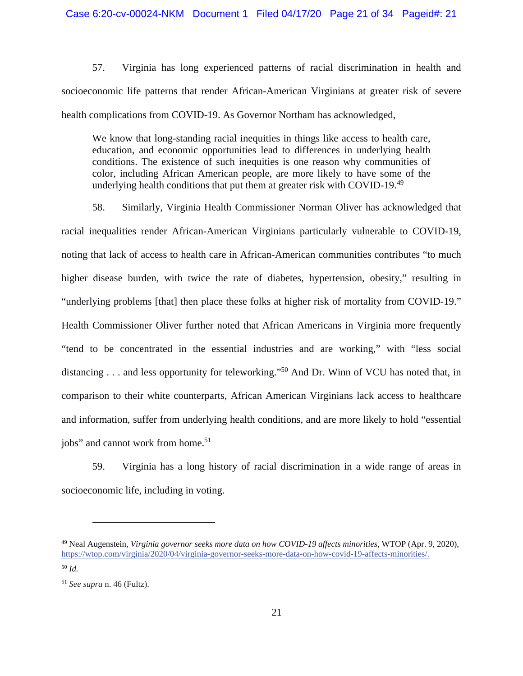57. Virginia has long experienced patterns of racial discrimination in health and socioeconomic life patterns that render African-American Virginians at greater risk of severe health complications from COVID-19. As Governor Northam has acknowledged,

We know that long-standing racial inequities in things like access to health care, education, and economic opportunities lead to differences in underlying health conditions. The existence of such inequities is one reason why communities of color, including African American people, are more likely to have some of the underlying health conditions that put them at greater risk with COVID-19.<sup>49</sup>

58. Similarly, Virginia Health Commissioner Norman Oliver has acknowledged that racial inequalities render African-American Virginians particularly vulnerable to COVID-19, noting that lack of access to health care in African-American communities contributes "to much higher disease burden, with twice the rate of diabetes, hypertension, obesity," resulting in "underlying problems [that] then place these folks at higher risk of mortality from COVID-19." Health Commissioner Oliver further noted that African Americans in Virginia more frequently "tend to be concentrated in the essential industries and are working," with "less social distancing . . . and less opportunity for teleworking."<sup>50</sup> And Dr. Winn of VCU has noted that, in comparison to their white counterparts, African American Virginians lack access to healthcare and information, suffer from underlying health conditions, and are more likely to hold "essential jobs" and cannot work from home.<sup>51</sup>

59. Virginia has a long history of racial discrimination in a wide range of areas in socioeconomic life, including in voting.

<sup>49</sup> Neal Augenstein, *Virginia governor seeks more data on how COVID-19 affects minorities*, WTOP (Apr. 9, 2020), https://wtop.com/virginia/2020/04/virginia-governor-seeks-more-data-on-how-covid-19-affects-minorities/.

<sup>50</sup> *Id.*

<sup>51</sup> *See supra* n. 46 (Fultz).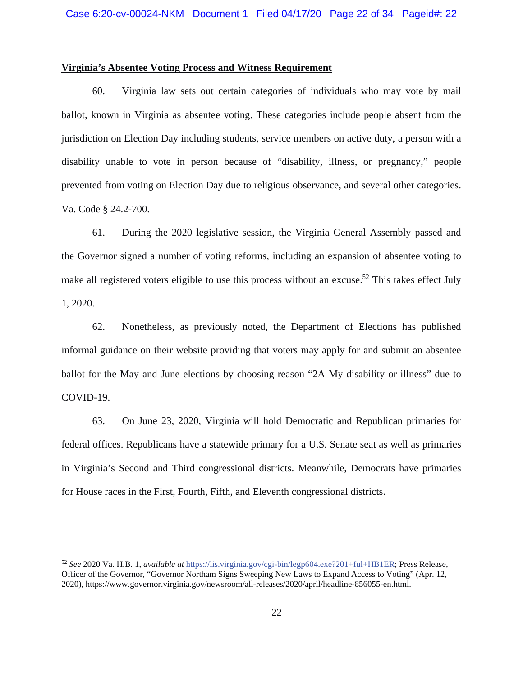### **Virginia's Absentee Voting Process and Witness Requirement**

60. Virginia law sets out certain categories of individuals who may vote by mail ballot, known in Virginia as absentee voting. These categories include people absent from the jurisdiction on Election Day including students, service members on active duty, a person with a disability unable to vote in person because of "disability, illness, or pregnancy," people prevented from voting on Election Day due to religious observance, and several other categories. Va. Code § 24.2-700.

61. During the 2020 legislative session, the Virginia General Assembly passed and the Governor signed a number of voting reforms, including an expansion of absentee voting to make all registered voters eligible to use this process without an excuse.<sup>52</sup> This takes effect July 1, 2020.

62. Nonetheless, as previously noted, the Department of Elections has published informal guidance on their website providing that voters may apply for and submit an absentee ballot for the May and June elections by choosing reason "2A My disability or illness" due to COVID-19.

63. On June 23, 2020, Virginia will hold Democratic and Republican primaries for federal offices. Republicans have a statewide primary for a U.S. Senate seat as well as primaries in Virginia's Second and Third congressional districts. Meanwhile, Democrats have primaries for House races in the First, Fourth, Fifth, and Eleventh congressional districts.

<sup>52</sup> *See* 2020 Va. H.B. 1, *available at* https://lis.virginia.gov/cgi-bin/legp604.exe?201+ful+HB1ER; Press Release, Officer of the Governor, "Governor Northam Signs Sweeping New Laws to Expand Access to Voting" (Apr. 12, 2020), https://www.governor.virginia.gov/newsroom/all-releases/2020/april/headline-856055-en.html.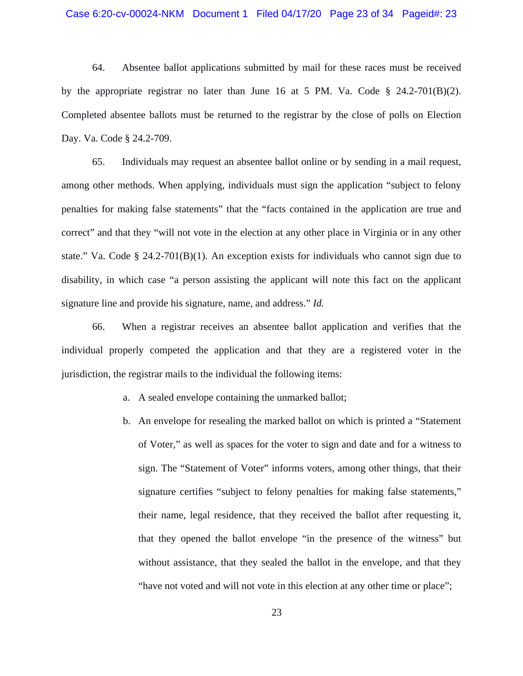### Case 6:20-cv-00024-NKM Document 1 Filed 04/17/20 Page 23 of 34 Pageid#: 23

64. Absentee ballot applications submitted by mail for these races must be received by the appropriate registrar no later than June 16 at 5 PM. Va. Code  $\S$  24.2-701(B)(2). Completed absentee ballots must be returned to the registrar by the close of polls on Election Day. Va. Code § 24.2-709.

65. Individuals may request an absentee ballot online or by sending in a mail request, among other methods. When applying, individuals must sign the application "subject to felony penalties for making false statements" that the "facts contained in the application are true and correct" and that they "will not vote in the election at any other place in Virginia or in any other state." Va. Code § 24.2-701(B)(1). An exception exists for individuals who cannot sign due to disability, in which case "a person assisting the applicant will note this fact on the applicant signature line and provide his signature, name, and address." *Id.*

66. When a registrar receives an absentee ballot application and verifies that the individual properly competed the application and that they are a registered voter in the jurisdiction, the registrar mails to the individual the following items:

- a. A sealed envelope containing the unmarked ballot;
- b. An envelope for resealing the marked ballot on which is printed a "Statement of Voter," as well as spaces for the voter to sign and date and for a witness to sign. The "Statement of Voter" informs voters, among other things, that their signature certifies "subject to felony penalties for making false statements," their name, legal residence, that they received the ballot after requesting it, that they opened the ballot envelope "in the presence of the witness" but without assistance, that they sealed the ballot in the envelope, and that they "have not voted and will not vote in this election at any other time or place";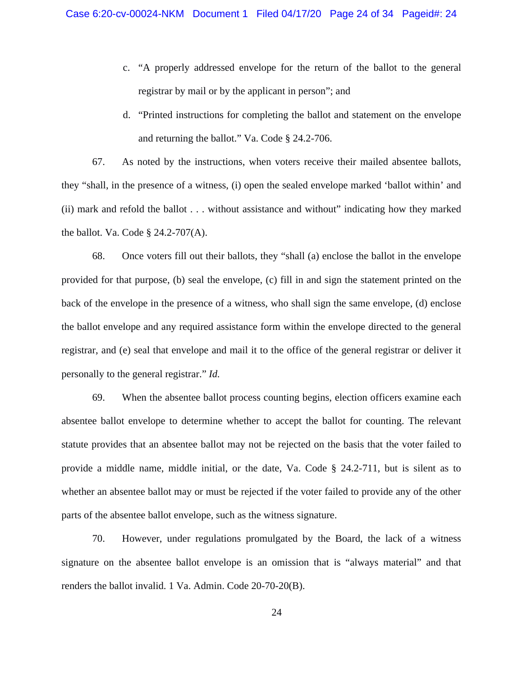- c. "A properly addressed envelope for the return of the ballot to the general registrar by mail or by the applicant in person"; and
- d. "Printed instructions for completing the ballot and statement on the envelope and returning the ballot." Va. Code § 24.2-706.

67. As noted by the instructions, when voters receive their mailed absentee ballots, they "shall, in the presence of a witness, (i) open the sealed envelope marked 'ballot within' and (ii) mark and refold the ballot . . . without assistance and without" indicating how they marked the ballot. Va. Code § 24.2-707(A).

68. Once voters fill out their ballots, they "shall (a) enclose the ballot in the envelope provided for that purpose, (b) seal the envelope, (c) fill in and sign the statement printed on the back of the envelope in the presence of a witness, who shall sign the same envelope, (d) enclose the ballot envelope and any required assistance form within the envelope directed to the general registrar, and (e) seal that envelope and mail it to the office of the general registrar or deliver it personally to the general registrar." *Id.*

69. When the absentee ballot process counting begins, election officers examine each absentee ballot envelope to determine whether to accept the ballot for counting. The relevant statute provides that an absentee ballot may not be rejected on the basis that the voter failed to provide a middle name, middle initial, or the date, Va. Code § 24.2-711, but is silent as to whether an absentee ballot may or must be rejected if the voter failed to provide any of the other parts of the absentee ballot envelope, such as the witness signature.

70. However, under regulations promulgated by the Board, the lack of a witness signature on the absentee ballot envelope is an omission that is "always material" and that renders the ballot invalid. 1 Va. Admin. Code 20-70-20(B).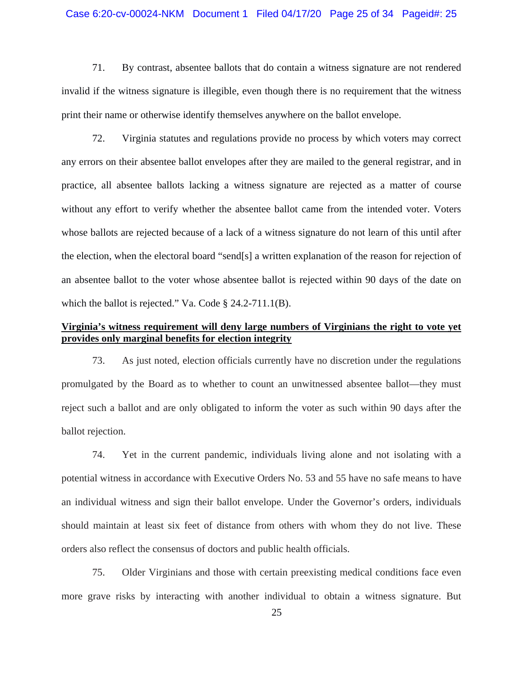### Case 6:20-cv-00024-NKM Document 1 Filed 04/17/20 Page 25 of 34 Pageid#: 25

71. By contrast, absentee ballots that do contain a witness signature are not rendered invalid if the witness signature is illegible, even though there is no requirement that the witness print their name or otherwise identify themselves anywhere on the ballot envelope.

72. Virginia statutes and regulations provide no process by which voters may correct any errors on their absentee ballot envelopes after they are mailed to the general registrar, and in practice, all absentee ballots lacking a witness signature are rejected as a matter of course without any effort to verify whether the absentee ballot came from the intended voter. Voters whose ballots are rejected because of a lack of a witness signature do not learn of this until after the election, when the electoral board "send[s] a written explanation of the reason for rejection of an absentee ballot to the voter whose absentee ballot is rejected within 90 days of the date on which the ballot is rejected." Va. Code § 24.2-711.1(B).

# **Virginia's witness requirement will deny large numbers of Virginians the right to vote yet provides only marginal benefits for election integrity**

73. As just noted, election officials currently have no discretion under the regulations promulgated by the Board as to whether to count an unwitnessed absentee ballot—they must reject such a ballot and are only obligated to inform the voter as such within 90 days after the ballot rejection.

74. Yet in the current pandemic, individuals living alone and not isolating with a potential witness in accordance with Executive Orders No. 53 and 55 have no safe means to have an individual witness and sign their ballot envelope. Under the Governor's orders, individuals should maintain at least six feet of distance from others with whom they do not live. These orders also reflect the consensus of doctors and public health officials.

75. Older Virginians and those with certain preexisting medical conditions face even more grave risks by interacting with another individual to obtain a witness signature. But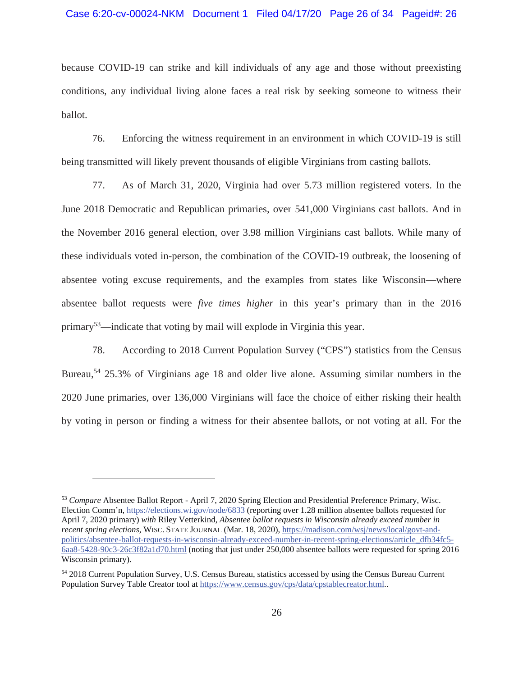because COVID-19 can strike and kill individuals of any age and those without preexisting conditions, any individual living alone faces a real risk by seeking someone to witness their ballot.

76. Enforcing the witness requirement in an environment in which COVID-19 is still being transmitted will likely prevent thousands of eligible Virginians from casting ballots.

77. As of March 31, 2020, Virginia had over 5.73 million registered voters. In the June 2018 Democratic and Republican primaries, over 541,000 Virginians cast ballots. And in the November 2016 general election, over 3.98 million Virginians cast ballots. While many of these individuals voted in-person, the combination of the COVID-19 outbreak, the loosening of absentee voting excuse requirements, and the examples from states like Wisconsin—where absentee ballot requests were *five times higher* in this year's primary than in the 2016 primary<sup>53</sup>—indicate that voting by mail will explode in Virginia this year.

78. According to 2018 Current Population Survey ("CPS") statistics from the Census Bureau,<sup>54</sup> 25.3% of Virginians age 18 and older live alone. Assuming similar numbers in the 2020 June primaries, over 136,000 Virginians will face the choice of either risking their health by voting in person or finding a witness for their absentee ballots, or not voting at all. For the

<sup>53</sup> *Compare* Absentee Ballot Report - April 7, 2020 Spring Election and Presidential Preference Primary, Wisc. Election Comm'n, https://elections.wi.gov/node/6833 (reporting over 1.28 million absentee ballots requested for April 7, 2020 primary) *with* Riley Vetterkind, *Absentee ballot requests in Wisconsin already exceed number in recent spring elections*, WISC. STATE JOURNAL (Mar. 18, 2020), https://madison.com/wsj/news/local/govt-andpolitics/absentee-ballot-requests-in-wisconsin-already-exceed-number-in-recent-spring-elections/article\_dfb34fc5- 6aa8-5428-90c3-26c3f82a1d70.html (noting that just under 250,000 absentee ballots were requested for spring 2016 Wisconsin primary).

<sup>54 2018</sup> Current Population Survey, U.S. Census Bureau, statistics accessed by using the Census Bureau Current Population Survey Table Creator tool at https://www.census.gov/cps/data/cpstablecreator.html..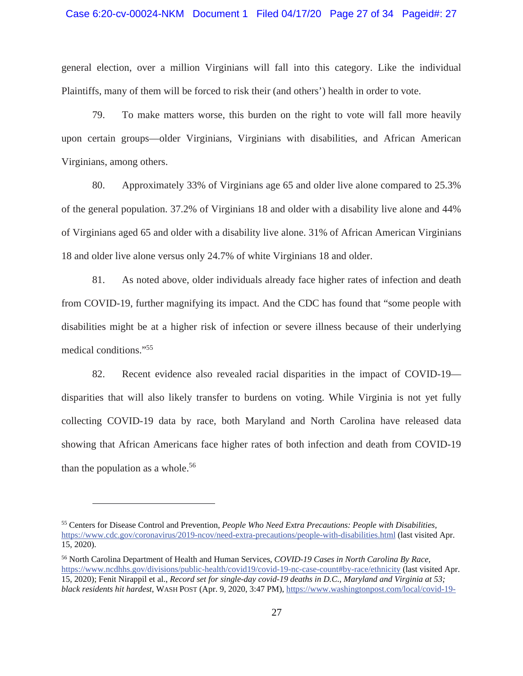### Case 6:20-cv-00024-NKM Document 1 Filed 04/17/20 Page 27 of 34 Pageid#: 27

general election, over a million Virginians will fall into this category. Like the individual Plaintiffs, many of them will be forced to risk their (and others') health in order to vote.

79. To make matters worse, this burden on the right to vote will fall more heavily upon certain groups—older Virginians, Virginians with disabilities, and African American Virginians, among others.

80. Approximately 33% of Virginians age 65 and older live alone compared to 25.3% of the general population. 37.2% of Virginians 18 and older with a disability live alone and 44% of Virginians aged 65 and older with a disability live alone. 31% of African American Virginians 18 and older live alone versus only 24.7% of white Virginians 18 and older.

81. As noted above, older individuals already face higher rates of infection and death from COVID-19, further magnifying its impact. And the CDC has found that "some people with disabilities might be at a higher risk of infection or severe illness because of their underlying medical conditions."55

82. Recent evidence also revealed racial disparities in the impact of COVID-19 disparities that will also likely transfer to burdens on voting. While Virginia is not yet fully collecting COVID-19 data by race, both Maryland and North Carolina have released data showing that African Americans face higher rates of both infection and death from COVID-19 than the population as a whole.<sup>56</sup>

<sup>55</sup> Centers for Disease Control and Prevention, *People Who Need Extra Precautions: People with Disabilities,* https://www.cdc.gov/coronavirus/2019-ncov/need-extra-precautions/people-with-disabilities.html (last visited Apr. 15, 2020).

<sup>56</sup> North Carolina Department of Health and Human Services, *COVID-19 Cases in North Carolina By Race*, https://www.ncdhhs.gov/divisions/public-health/covid19/covid-19-nc-case-count#by-race/ethnicity (last visited Apr. 15, 2020); Fenit Nirappil et al., *Record set for single-day covid-19 deaths in D.C., Maryland and Virginia at 53; black residents hit hardest*, WASH POST (Apr. 9, 2020, 3:47 PM), https://www.washingtonpost.com/local/covid-19-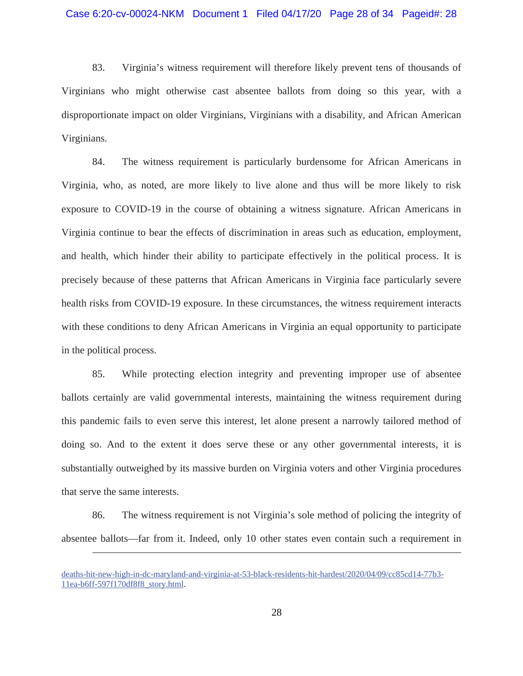83. Virginia's witness requirement will therefore likely prevent tens of thousands of Virginians who might otherwise cast absentee ballots from doing so this year, with a disproportionate impact on older Virginians, Virginians with a disability, and African American Virginians.

84. The witness requirement is particularly burdensome for African Americans in Virginia, who, as noted, are more likely to live alone and thus will be more likely to risk exposure to COVID-19 in the course of obtaining a witness signature. African Americans in Virginia continue to bear the effects of discrimination in areas such as education, employment, and health, which hinder their ability to participate effectively in the political process. It is precisely because of these patterns that African Americans in Virginia face particularly severe health risks from COVID-19 exposure. In these circumstances, the witness requirement interacts with these conditions to deny African Americans in Virginia an equal opportunity to participate in the political process.

85. While protecting election integrity and preventing improper use of absentee ballots certainly are valid governmental interests, maintaining the witness requirement during this pandemic fails to even serve this interest, let alone present a narrowly tailored method of doing so. And to the extent it does serve these or any other governmental interests, it is substantially outweighed by its massive burden on Virginia voters and other Virginia procedures that serve the same interests.

86. The witness requirement is not Virginia's sole method of policing the integrity of absentee ballots—far from it. Indeed, only 10 other states even contain such a requirement in

deaths-hit-new-high-in-dc-maryland-and-virginia-at-53-black-residents-hit-hardest/2020/04/09/cc85cd14-77b3- 11ea-b6ff-597f170df8f8\_story.html.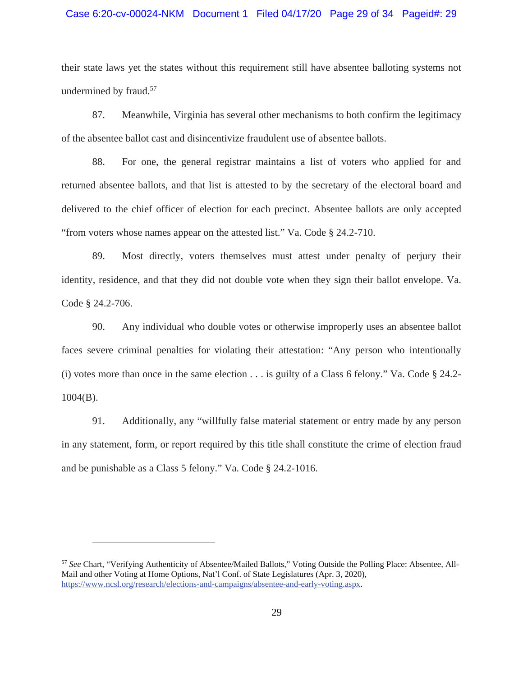### Case 6:20-cv-00024-NKM Document 1 Filed 04/17/20 Page 29 of 34 Pageid#: 29

their state laws yet the states without this requirement still have absentee balloting systems not undermined by fraud.<sup>57</sup>

87. Meanwhile, Virginia has several other mechanisms to both confirm the legitimacy of the absentee ballot cast and disincentivize fraudulent use of absentee ballots.

88. For one, the general registrar maintains a list of voters who applied for and returned absentee ballots, and that list is attested to by the secretary of the electoral board and delivered to the chief officer of election for each precinct. Absentee ballots are only accepted "from voters whose names appear on the attested list." Va. Code § 24.2-710.

89. Most directly, voters themselves must attest under penalty of perjury their identity, residence, and that they did not double vote when they sign their ballot envelope. Va. Code § 24.2-706.

90. Any individual who double votes or otherwise improperly uses an absentee ballot faces severe criminal penalties for violating their attestation: "Any person who intentionally (i) votes more than once in the same election . . . is guilty of a Class 6 felony." Va. Code § 24.2- 1004(B).

91. Additionally, any "willfully false material statement or entry made by any person in any statement, form, or report required by this title shall constitute the crime of election fraud and be punishable as a Class 5 felony." Va. Code § 24.2-1016.

<sup>57</sup> *See* Chart, "Verifying Authenticity of Absentee/Mailed Ballots," Voting Outside the Polling Place: Absentee, All-Mail and other Voting at Home Options, Nat'l Conf. of State Legislatures (Apr. 3, 2020), https://www.ncsl.org/research/elections-and-campaigns/absentee-and-early-voting.aspx.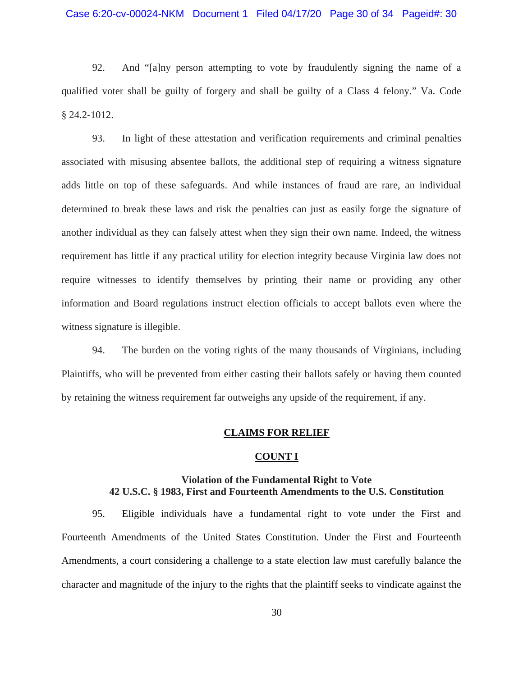92. And "[a]ny person attempting to vote by fraudulently signing the name of a qualified voter shall be guilty of forgery and shall be guilty of a Class 4 felony." Va. Code § 24.2-1012.

93. In light of these attestation and verification requirements and criminal penalties associated with misusing absentee ballots, the additional step of requiring a witness signature adds little on top of these safeguards. And while instances of fraud are rare, an individual determined to break these laws and risk the penalties can just as easily forge the signature of another individual as they can falsely attest when they sign their own name. Indeed, the witness requirement has little if any practical utility for election integrity because Virginia law does not require witnesses to identify themselves by printing their name or providing any other information and Board regulations instruct election officials to accept ballots even where the witness signature is illegible.

94. The burden on the voting rights of the many thousands of Virginians, including Plaintiffs, who will be prevented from either casting their ballots safely or having them counted by retaining the witness requirement far outweighs any upside of the requirement, if any.

# **CLAIMS FOR RELIEF**

# **COUNT I**

# **Violation of the Fundamental Right to Vote 42 U.S.C. § 1983, First and Fourteenth Amendments to the U.S. Constitution**

95. Eligible individuals have a fundamental right to vote under the First and Fourteenth Amendments of the United States Constitution. Under the First and Fourteenth Amendments, a court considering a challenge to a state election law must carefully balance the character and magnitude of the injury to the rights that the plaintiff seeks to vindicate against the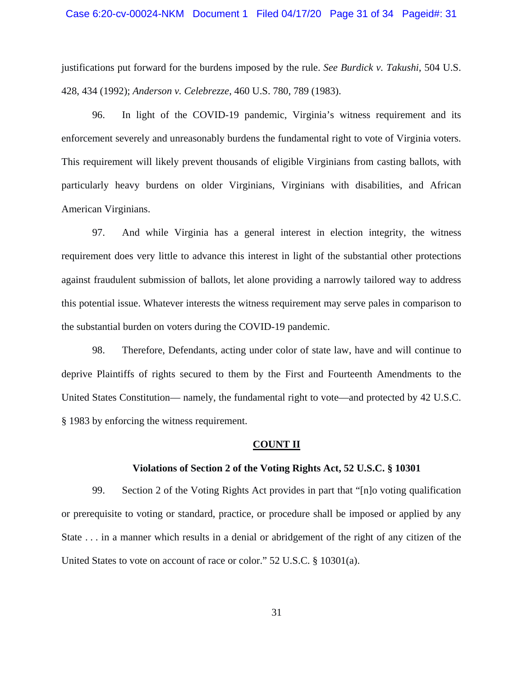justifications put forward for the burdens imposed by the rule. *See Burdick v. Takushi*, 504 U.S. 428, 434 (1992); *Anderson v. Celebrezze*, 460 U.S. 780, 789 (1983).

96. In light of the COVID-19 pandemic, Virginia's witness requirement and its enforcement severely and unreasonably burdens the fundamental right to vote of Virginia voters. This requirement will likely prevent thousands of eligible Virginians from casting ballots, with particularly heavy burdens on older Virginians, Virginians with disabilities, and African American Virginians.

97. And while Virginia has a general interest in election integrity, the witness requirement does very little to advance this interest in light of the substantial other protections against fraudulent submission of ballots, let alone providing a narrowly tailored way to address this potential issue. Whatever interests the witness requirement may serve pales in comparison to the substantial burden on voters during the COVID-19 pandemic.

98. Therefore, Defendants, acting under color of state law, have and will continue to deprive Plaintiffs of rights secured to them by the First and Fourteenth Amendments to the United States Constitution— namely, the fundamental right to vote—and protected by 42 U.S.C. § 1983 by enforcing the witness requirement.

#### **COUNT II**

### **Violations of Section 2 of the Voting Rights Act, 52 U.S.C. § 10301**

99. Section 2 of the Voting Rights Act provides in part that "[n]o voting qualification or prerequisite to voting or standard, practice, or procedure shall be imposed or applied by any State . . . in a manner which results in a denial or abridgement of the right of any citizen of the United States to vote on account of race or color." 52 U.S.C. § 10301(a).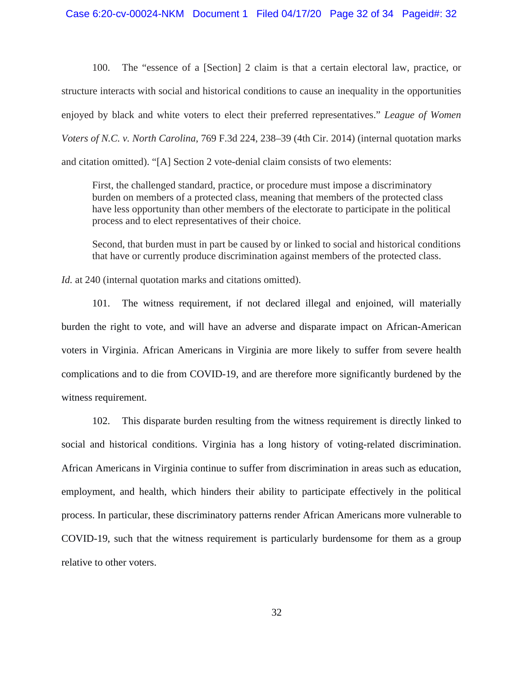100. The "essence of a [Section] 2 claim is that a certain electoral law, practice, or structure interacts with social and historical conditions to cause an inequality in the opportunities enjoyed by black and white voters to elect their preferred representatives." *League of Women Voters of N.C. v. North Carolina*, 769 F.3d 224, 238–39 (4th Cir. 2014) (internal quotation marks and citation omitted). "[A] Section 2 vote-denial claim consists of two elements:

First, the challenged standard, practice, or procedure must impose a discriminatory burden on members of a protected class, meaning that members of the protected class have less opportunity than other members of the electorate to participate in the political process and to elect representatives of their choice.

Second, that burden must in part be caused by or linked to social and historical conditions that have or currently produce discrimination against members of the protected class.

*Id.* at 240 (internal quotation marks and citations omitted).

101. The witness requirement, if not declared illegal and enjoined, will materially burden the right to vote, and will have an adverse and disparate impact on African-American voters in Virginia. African Americans in Virginia are more likely to suffer from severe health complications and to die from COVID-19, and are therefore more significantly burdened by the witness requirement.

102. This disparate burden resulting from the witness requirement is directly linked to social and historical conditions. Virginia has a long history of voting-related discrimination. African Americans in Virginia continue to suffer from discrimination in areas such as education, employment, and health, which hinders their ability to participate effectively in the political process. In particular, these discriminatory patterns render African Americans more vulnerable to COVID-19, such that the witness requirement is particularly burdensome for them as a group relative to other voters.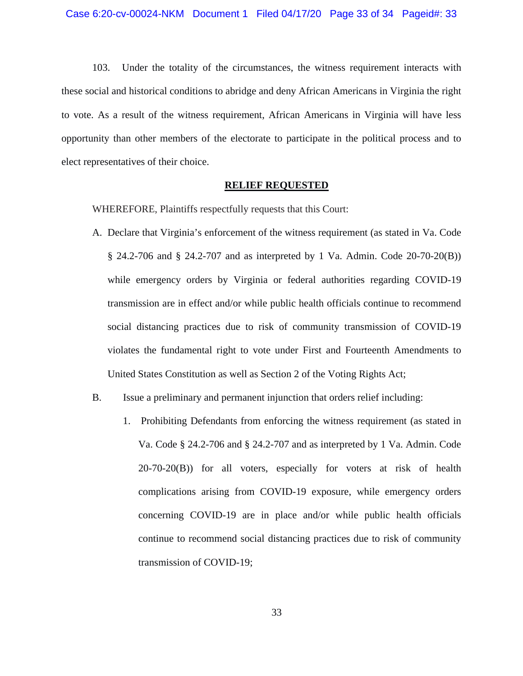103. Under the totality of the circumstances, the witness requirement interacts with these social and historical conditions to abridge and deny African Americans in Virginia the right to vote. As a result of the witness requirement, African Americans in Virginia will have less opportunity than other members of the electorate to participate in the political process and to elect representatives of their choice.

## **RELIEF REQUESTED**

WHEREFORE, Plaintiffs respectfully requests that this Court:

- A. Declare that Virginia's enforcement of the witness requirement (as stated in Va. Code § 24.2-706 and § 24.2-707 and as interpreted by 1 Va. Admin. Code 20-70-20(B)) while emergency orders by Virginia or federal authorities regarding COVID-19 transmission are in effect and/or while public health officials continue to recommend social distancing practices due to risk of community transmission of COVID-19 violates the fundamental right to vote under First and Fourteenth Amendments to United States Constitution as well as Section 2 of the Voting Rights Act;
- B. Issue a preliminary and permanent injunction that orders relief including:
	- 1. Prohibiting Defendants from enforcing the witness requirement (as stated in Va. Code § 24.2-706 and § 24.2-707 and as interpreted by 1 Va. Admin. Code 20-70-20(B)) for all voters, especially for voters at risk of health complications arising from COVID-19 exposure, while emergency orders concerning COVID-19 are in place and/or while public health officials continue to recommend social distancing practices due to risk of community transmission of COVID-19;